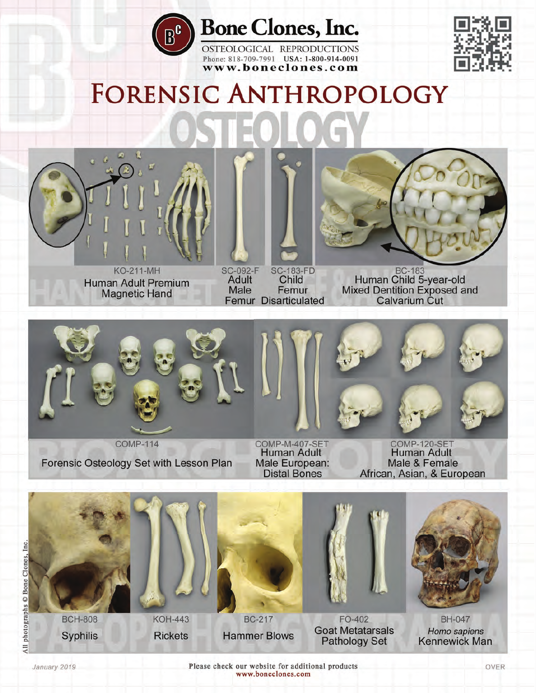

Phone: 818-709-7991 USA: 1-800-914-0091 www.boneclones.com



## **FORENSIC ANTHROPOLOGY**



**Human Adult Premium Magnetic Hand** 



SC-183-FD<br>Child **Adult** Male Femur **Femur Disarticulated** 



BC-183<br>Human Child 5-year-old **Mixed Dentition Exposed and** Calvarium Cut



**COMP-114** 

Forensic Osteology Set with Lesson Plan

COMP-M-407-SET<br>Human Adult Male European: **Distal Bones** 

COMP-120-SET<br>Human Adult Male & Female African, Asian, & European



**Rickets** 

**Syphilis** 



**BC-217 Hammer Blows** 



FO-402 **Goat Metatarsals Pathology Set** 



**BH-047** Homo sapiens **Kennewick Man** 

Please check our website for additional products www.boneclones.com